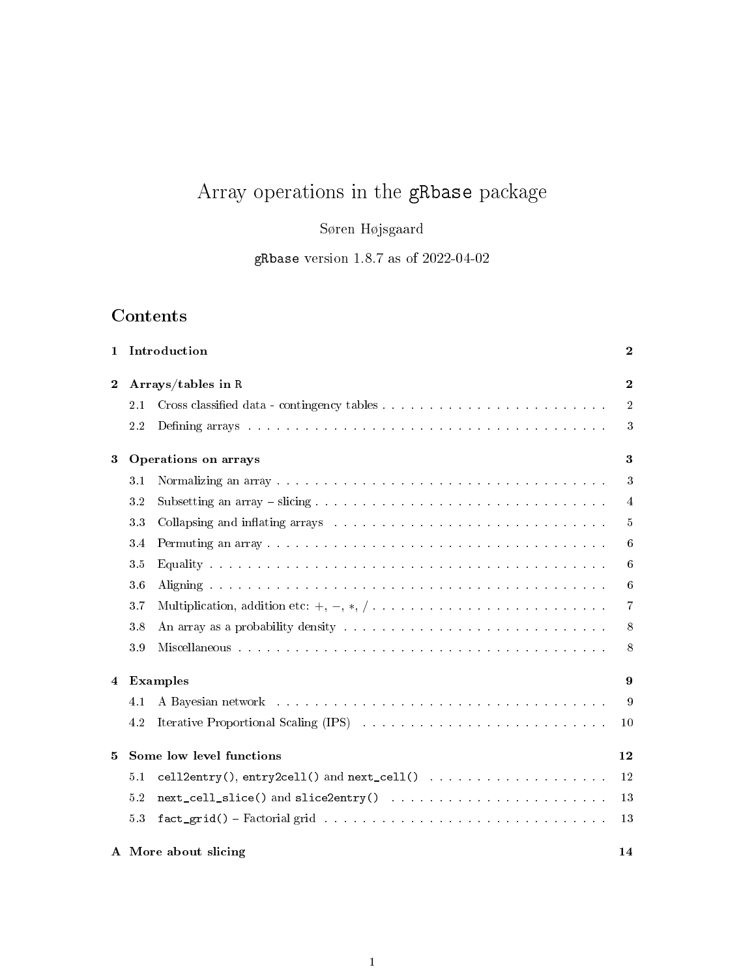# Array operations in the gRbase package

Søren Højsgaard

gRbase version 1.8.7 as of 2022-04-02

## Contents

| $\mathbf{1}$ | Introduction                   |                                                                                                                                                                                                                                |            |  |  |  |  |  |
|--------------|--------------------------------|--------------------------------------------------------------------------------------------------------------------------------------------------------------------------------------------------------------------------------|------------|--|--|--|--|--|
| $\mathbf 2$  |                                | Arrays/tables in R                                                                                                                                                                                                             |            |  |  |  |  |  |
|              | 2.1                            |                                                                                                                                                                                                                                | $\sqrt{2}$ |  |  |  |  |  |
|              | 2.2                            | Defining arrays resources in the contract of the contract of the contract of the contract of the contract of the contract of the contract of the contract of the contract of the contract of the contract of the contract of t | 3          |  |  |  |  |  |
| 3            | Operations on arrays           |                                                                                                                                                                                                                                |            |  |  |  |  |  |
|              | 3.1                            |                                                                                                                                                                                                                                | 3          |  |  |  |  |  |
|              | 3.2                            |                                                                                                                                                                                                                                | 4          |  |  |  |  |  |
|              | 33                             | Collapsing and inflating arrays entertainment of the state of the state of the state of the state of the state of the state of the state of the state of the state of the state of the state of the state of the state of the  | 5          |  |  |  |  |  |
|              | 3.4                            |                                                                                                                                                                                                                                | 6          |  |  |  |  |  |
|              | $3.5\,$                        |                                                                                                                                                                                                                                | 6          |  |  |  |  |  |
|              | 3.6                            | Aligning the contract of the contract of the contract of the contract of the contract of the contract of the contract of the contract of the contract of the contract of the contract of the contract of the contract of the c | 6          |  |  |  |  |  |
|              | 3.7                            |                                                                                                                                                                                                                                | 7          |  |  |  |  |  |
|              | 3.8                            |                                                                                                                                                                                                                                | 8          |  |  |  |  |  |
|              | 3.9                            |                                                                                                                                                                                                                                | $8\,$      |  |  |  |  |  |
| 4            | <b>Examples</b>                |                                                                                                                                                                                                                                |            |  |  |  |  |  |
|              | 4.1                            | A Bayesian network entering the service of the service of the service of the service of the service of the service of the service of the service of the service of the service of the service of the service of the service of | 9          |  |  |  |  |  |
|              | 4.2                            | Iterative Proportional Scaling (IPS) and a subset of the set of the set of the set of the set of the set of the set of the set of the set of the set of the set of the set of the set of the set of the set of the set of the  | 10         |  |  |  |  |  |
| 5            | Some low level functions<br>12 |                                                                                                                                                                                                                                |            |  |  |  |  |  |
|              | 5.1                            |                                                                                                                                                                                                                                | 12         |  |  |  |  |  |
|              | 5.2                            |                                                                                                                                                                                                                                | 13         |  |  |  |  |  |
|              | 53                             |                                                                                                                                                                                                                                | 13         |  |  |  |  |  |
|              |                                | A More about slicing<br>14                                                                                                                                                                                                     |            |  |  |  |  |  |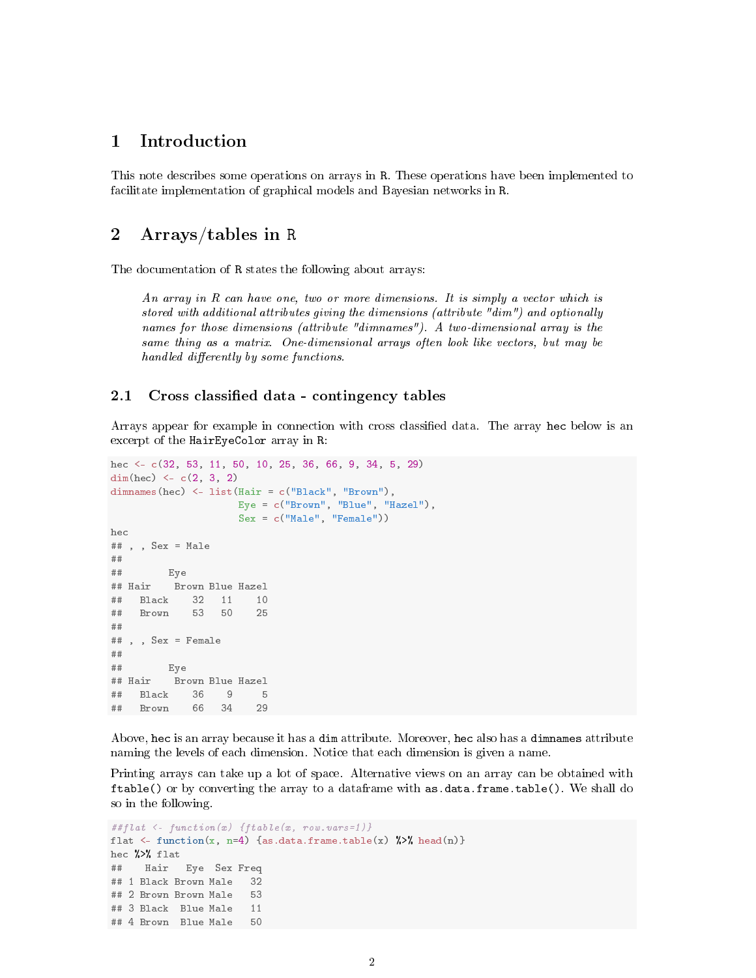## 1 Introduction

This note describes some operations on arrays in R. These operations have been implemented to facilitate implementation of graphical models and Bayesian networks in R.

## 2 Arrays/tables in R

The documentation of R states the following about arrays:

An array in R can have one, two or more dimensions. It is simply a vector which is stored with additional attributes giving the dimensions (attribute "dim") and optionally names for those dimensions (attribute "dimnames"). A two-dimensional array is the same thing as a matrix. One-dimensional arrays often look like vectors, but may be handled differently by some functions.

#### 2.1 Cross classified data - contingency tables

Arrays appear for example in connection with cross classied data. The array hec below is an excerpt of the HairEyeColor array in R:

```
hec <- c(32, 53, 11, 50, 10, 25, 36, 66, 9, 34, 5, 29)
dim(hec) <-c(2, 3, 2)dimnames(hec) <- list(Hair = c("Black", "Brown"),
                 Eye = c("Brown", "Blue", "Hazel"),
                   Sex = c("Male", "Female"))
hec
## , , Sex = Male
##
## Eye
## Hair Brown Blue Hazel
## Black 32 11 10
## Brown 53 50 25
##
## , , Sex = Female
##
## Eye
## Hair Brown Blue Hazel
## Black 36 9 5
## Brown 66 34 29
```
Above, hec is an array because it has a dim attribute. Moreover, hec also has a dimnames attribute naming the levels of each dimension. Notice that each dimension is given a name.

Printing arrays can take up a lot of space. Alternative views on an array can be obtained with ftable() or by converting the array to a dataframe with as.data.frame.table(). We shall do so in the following.

```
##flat \langle- function(x) {ftable(x, row.vars=1)}
flat \langle- function(x, n=4) {as.data.frame.table(x) %>% head(n)}
hec %>% flat
## Hair Eye Sex Freq
## 1 Black Brown Male 32
## 2 Brown Brown Male 53
## 3 Black Blue Male 11
## 4 Brown Blue Male 50
```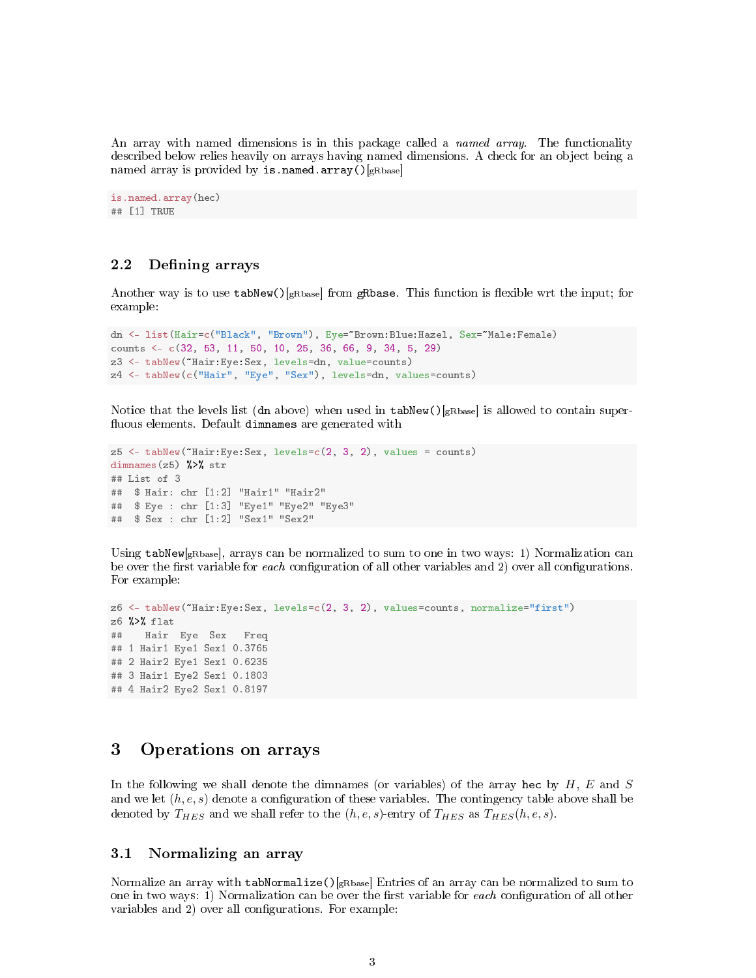An array with named dimensions is in this package called a *named array*. The functionality described below relies heavily on arrays having named dimensions. A check for an object being a named array is provided by is.named.array() $[s_{\text{Rbase}}]$ 

```
is.named.array(hec)
## [1] TRUE
```
## 2.2 Defining arrays

Another way is to use  $\text{tabNew}()$ <sub>gRbase</sub>] from gRbase. This function is flexible wrt the input; for example:

```
dn <- list(Hair=c("Black", "Brown"), Eye=~Brown:Blue:Hazel, Sex=~Male:Female)
counts <- c(32, 53, 11, 50, 10, 25, 36, 66, 9, 34, 5, 29)
z3 <- tabNew(~Hair:Eye:Sex, levels=dn, value=counts)
z4 <- tabNew(c("Hair", "Eye", "Sex"), levels=dn, values=counts)
```
Notice that the levels list (dn above) when used in  $\text{tabNew}()$ <sub>gRbase</sub>] is allowed to contain superfluous elements. Default dimnames are generated with

```
z5 <- tabNew(~Hair:Eye:Sex, levels=c(2, 3, 2), values = counts)
dimnames(z5) \frac{1}{2} str
## List of 3
## $ Hair: chr [1:2] "Hair1" "Hair2"
## $ Eye : chr [1:3] "Eye1" "Eye2" "Eye3"
## $ Sex : chr [1:2] "Sex1" "Sex2"
```
Using tabNew[gRbase], arrays can be normalized to sum to one in two ways: 1) Normalization can be over the first variable for each configuration of all other variables and 2) over all configurations. For example:

```
z6 <- tabNew(~Hair:Eye:Sex, levels=c(2, 3, 2), values=counts, normalize="first")
z6 %>% flat
## Hair Eye Sex Freq
## 1 Hair1 Eye1 Sex1 0.3765
## 2 Hair2 Eye1 Sex1 0.6235
## 3 Hair1 Eye2 Sex1 0.1803
## 4 Hair2 Eye2 Sex1 0.8197
```
## 3 Operations on arrays

In the following we shall denote the dimnames (or variables) of the array hec by  $H, E$  and  $S$ and we let  $(h, e, s)$  denote a configuration of these variables. The contingency table above shall be denoted by  $T_{HES}$  and we shall refer to the  $(h, e, s)$ -entry of  $T_{HES}$  as  $T_{HES}(h, e, s)$ .

#### 3.1 Normalizing an array

Normalize an array with tabNormalize()[ $gRbase$ ] Entries of an array can be normalized to sum to one in two ways: 1) Normalization can be over the first variable for each configuration of all other variables and 2) over all configurations. For example: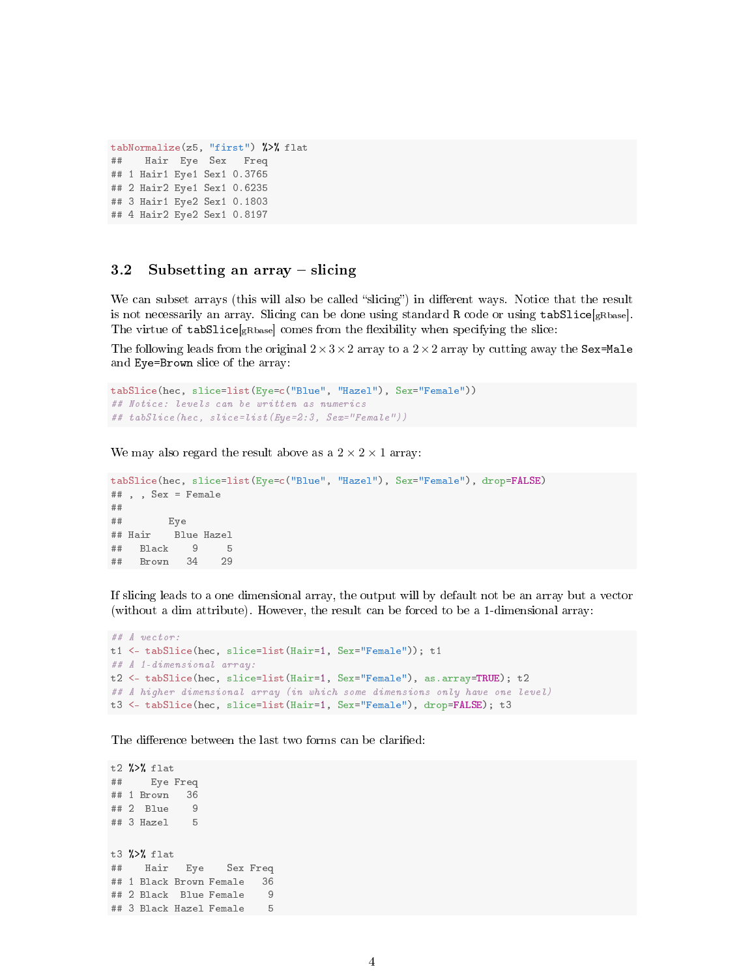```
tabNormalize(z5, "first") %>% flat
## Hair Eye Sex Freq
## 1 Hair1 Eye1 Sex1 0.3765
## 2 Hair2 Eye1 Sex1 0.6235
## 3 Hair1 Eye2 Sex1 0.1803
## 4 Hair2 Eye2 Sex1 0.8197
```
## 3.2 Subsetting an array  $-$  slicing

We can subset arrays (this will also be called "slicing") in different ways. Notice that the result is not necessarily an array. Slicing can be done using standard R code or using  $\texttt{table}[gR\text{base}]$ . The virtue of  $\texttt{tabSlice}[gBbase]}$  comes from the flexibility when specifying the slice:

The following leads from the original  $2 \times 3 \times 2$  array to a  $2 \times 2$  array by cutting away the Sex=Male and Eye=Brown slice of the array:

```
tabSlice(hec, slice=list(Eye=c("Blue", "Hazel"), Sex="Female"))
## Notice: levels can be written as numerics
## tabSlice(hec, slice=list(Eye=2:3, Sex="Female"))
```
We may also regard the result above as a  $2 \times 2 \times 1$  array:

```
tabSlice(hec, slice=list(Eye=c("Blue", "Hazel"), Sex="Female"), drop=FALSE)
## , , Sex = Female
##
## Eye
## Hair Blue Hazel
## Black 9 5
## Brown 34 29
```
If slicing leads to a one dimensional array, the output will by default not be an array but a vector (without a dim attribute). However, the result can be forced to be a 1-dimensional array:

```
## A vector:
t1 <- tabSlice(hec, slice=list(Hair=1, Sex="Female")); t1
## A 1-dimensional array:
t2 <- tabSlice(hec, slice=list(Hair=1, Sex="Female"), as.array=TRUE); t2
## A higher dimensional array (in which some dimensions only have one level)
t3 <- tabSlice(hec, slice=list(Hair=1, Sex="Female"), drop=FALSE); t3
```
The difference between the last two forms can be clarified:

t2 %>% flat ## Eye Freq ## 1 Brown 36 ## 2 Blue ## 3 Hazel 5 t3 %>% flat ## Hair Eye Sex Freq ## 1 Black Brown Female 36 ## 2 Black Blue Female 9 ## 3 Black Hazel Female 5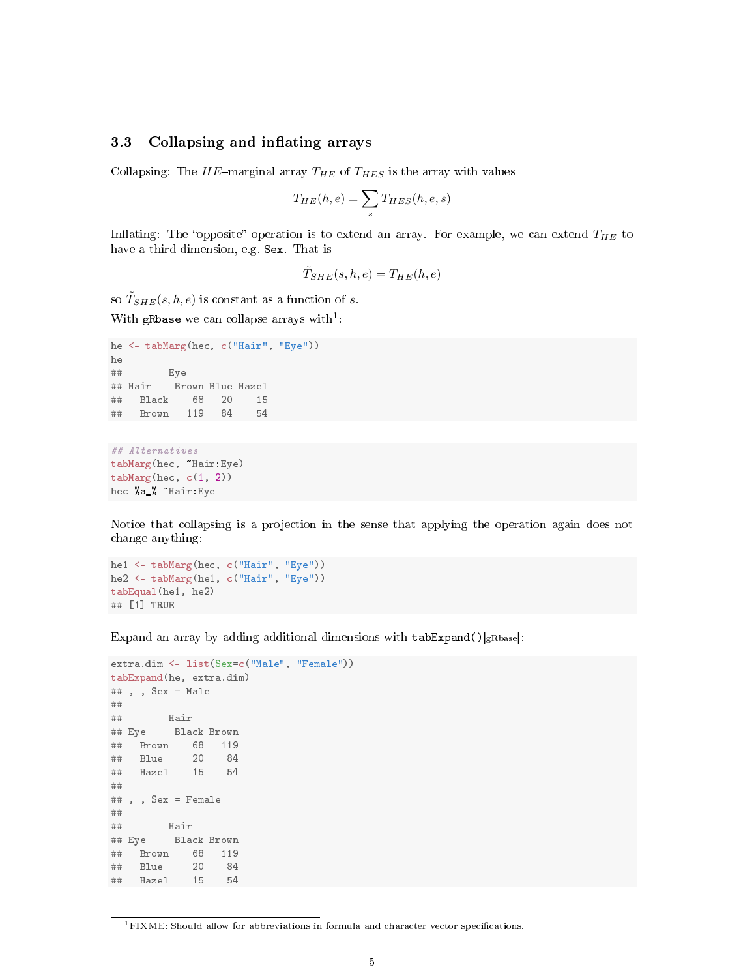## 3.3 Collapsing and inflating arrays

Collapsing: The  $HE$ -marginal array  $T_{HE}$  of  $T_{HES}$  is the array with values

$$
T_{HE}(h,e) = \sum_{s} T_{HES}(h,e,s)
$$

Inflating: The "opposite" operation is to extend an array. For example, we can extend  $T_{HE}$  to have a third dimension, e.g. Sex. That is

$$
\tilde{T}_{SHE}(s,h,e) = T_{HE}(h,e)
$$

so  $\tilde{T}_{SHE}(s,h,e)$  is constant as a function of s.

With gRbase we can collapse arrays with<sup>1</sup>:

```
he <- tabMarg(hec, c("Hair", "Eye"))
he
## Eye
## Hair Brown Blue Hazel
## Black 68 20 15
## Brown 119 84 54
## Alternatives
```
tabMarg(hec, ~Hair:Eye) tabMarg(hec, c(1, 2)) hec %a\_% ~Hair:Eye

Notice that collapsing is a projection in the sense that applying the operation again does not change anything:

```
he1 <- tabMarg(hec, c("Hair", "Eye"))
he2 <- tabMarg(he1, c("Hair", "Eye"))
tabEqual(he1, he2)
## [1] TRUE
```
Expand an array by adding additional dimensions with  $\texttt{tabExpand}()$ <sub>[gRbase</sub>]:

```
extra.dim <- list(Sex=c("Male", "Female"))
tabExpand(he, extra.dim)
## , , Sex = Male
##
## Hair
## Eye Black Brown
## Brown 68 119
## Blue 20 84
## Hazel 15 54
##
## , , Sex = Female
##
## Hair
## Eye Black Brown
## Brown 68 119
## Blue 20 84
## Hazel 15 54
```
 ${}^{1}$ FIXME: Should allow for abbreviations in formula and character vector specifications.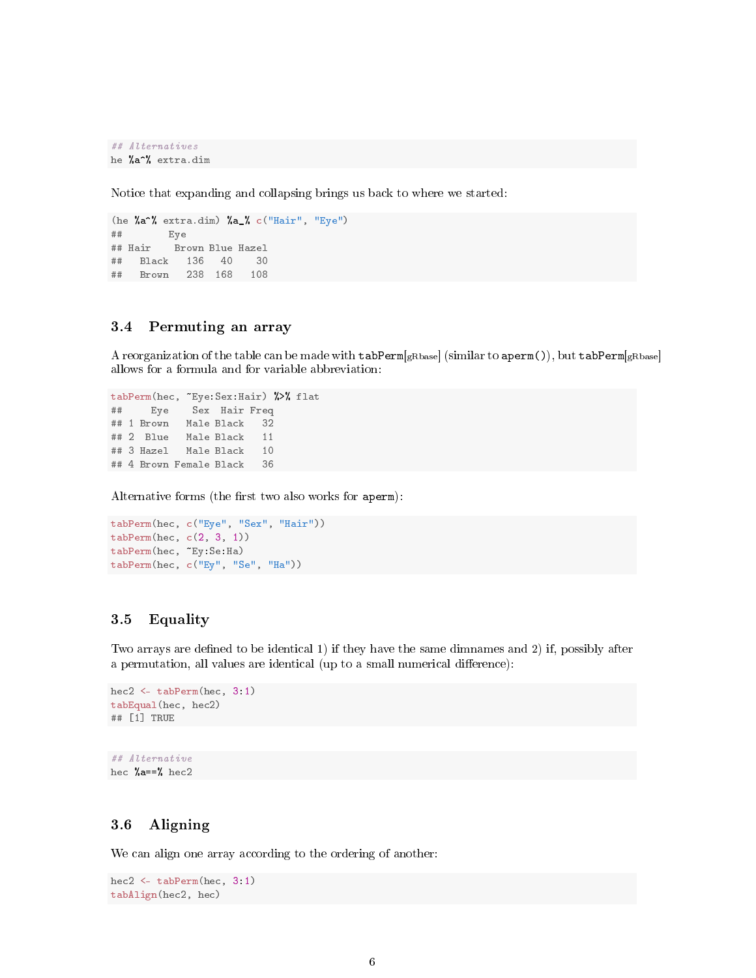```
## Alternatives
he %a^% extra.dim
```
Notice that expanding and collapsing brings us back to where we started:

```
(he %a^% extra.dim) %a_% c("Hair", "Eye")
## Eye
## Hair Brown Blue Hazel
## Black 136 40 30
## Brown 238 168 108
```
## 3.4 Permuting an array

A reorganization of the table can be made with  $\tt tabPerm[gRbase]$  (similar to  $aperm()$ ), but  $tabPerm[gRbase]$ allows for a formula and for variable abbreviation:

```
tabPerm(hec, ~Eye:Sex:Hair) %>% flat
## Eye Sex Hair Freq
## 1 Brown Male Black 32
## 2 Blue Male Black 11
## 3 Hazel Male Black 10
## 4 Brown Female Black 36
```
Alternative forms (the first two also works for aperm):

```
tabPerm(hec, c("Eye", "Sex", "Hair"))
tabPerm(hec, c(2, 3, 1))
tabPerm(hec, ~Ey:Se:Ha)
tabPerm(hec, c("Ey", "Se", "Ha"))
```
## 3.5 Equality

Two arrays are defined to be identical 1) if they have the same dimnames and 2) if, possibly after a permutation, all values are identical (up to a small numerical difference):

```
hec2 <- tabPerm(hec, 3:1)
tabEqual(hec, hec2)
## [1] TRUE
```
## Alternative hec  $\text{\%a==\%}$  hec2

## 3.6 Aligning

We can align one array according to the ordering of another:

```
hec2 <- tabPerm(hec, 3:1)
tabAlign(hec2, hec)
```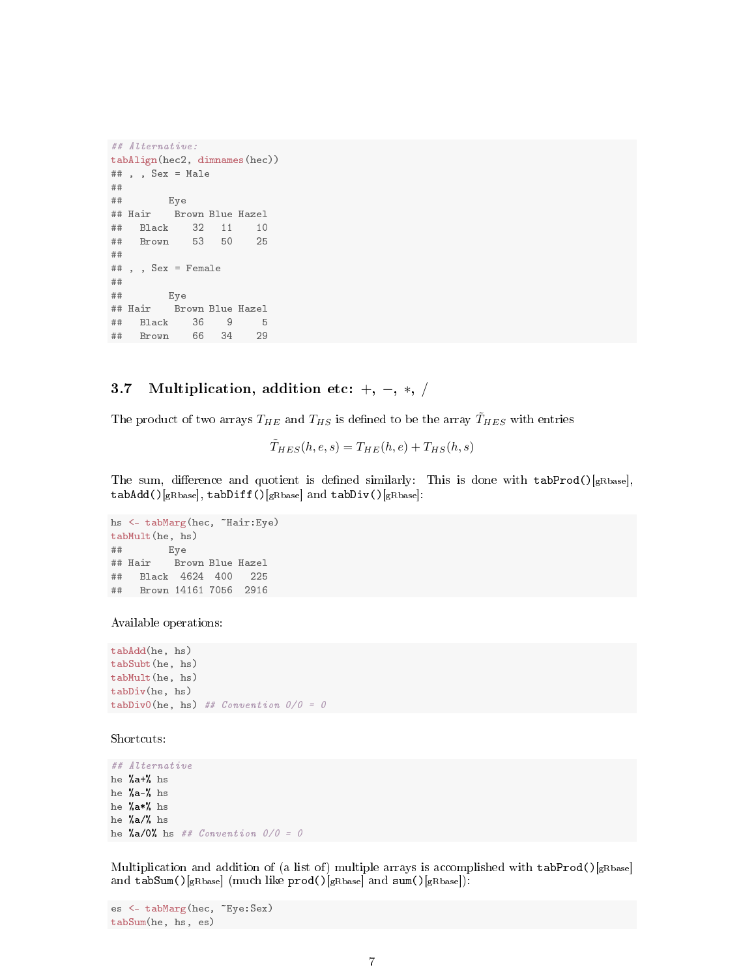```
## Alternative:
tabAlign(hec2, dimnames(hec))
## , , Sex = Male
##
## Eye
## Hair Brown Blue Hazel
## Black 32 11 10
## Brown 53 50 25
##
## , , Sex = Female
\begin{array}{c} \# \# \\ \# \# \end{array}Eye
## Hair Brown Blue Hazel
## Black 36 9 5
## Brown 66 34 29
```
## 3.7 Multiplication, addition etc:  $+$ ,  $-$ ,  $*$ ,  $/$

The product of two arrays  $T_{HE}$  and  $T_{HS}$  is defined to be the array  $\tilde{T}_{HES}$  with entries

 $\tilde{T}_{HES}(h, e, s) = T_{HE}(h, e) + T_{HS}(h, s)$ 

The sum, difference and quotient is defined similarly: This is done with  $tabProd()$ <sub>[gRbase</sub>],  $tabAdd()$ [gRbase], tabDiff()[gRbase] and tabDiv()[gRbase]:

```
hs <- tabMarg(hec, ~Hair:Eye)
tabMult(he, hs)
## Eye
## Hair Brown Blue Hazel
## Black 4624 400 225
## Brown 14161 7056 2916
```
Available operations:

tabAdd(he, hs) tabSubt(he, hs) tabMult(he, hs) tabDiv(he, hs) tabDivO(he, hs) ##  $Convention$   $0/0 = 0$ 

Shortcuts:

## Alternative he %a+% hs he %a-% hs he %a\*% hs he %a/% hs he  $\frac{1}{6}a/0\frac{1}{6}$  hs ## Convention  $0/0 = 0$ 

Multiplication and addition of (a list of) multiple arrays is accomplished with tabProd()[ $gRbase$ ] and tabSum()[gRbase] (much like prod()[gRbase] and sum()[gRbase]):

```
es <- tabMarg(hec, ~Eye:Sex)
tabSum(he, hs, es)
```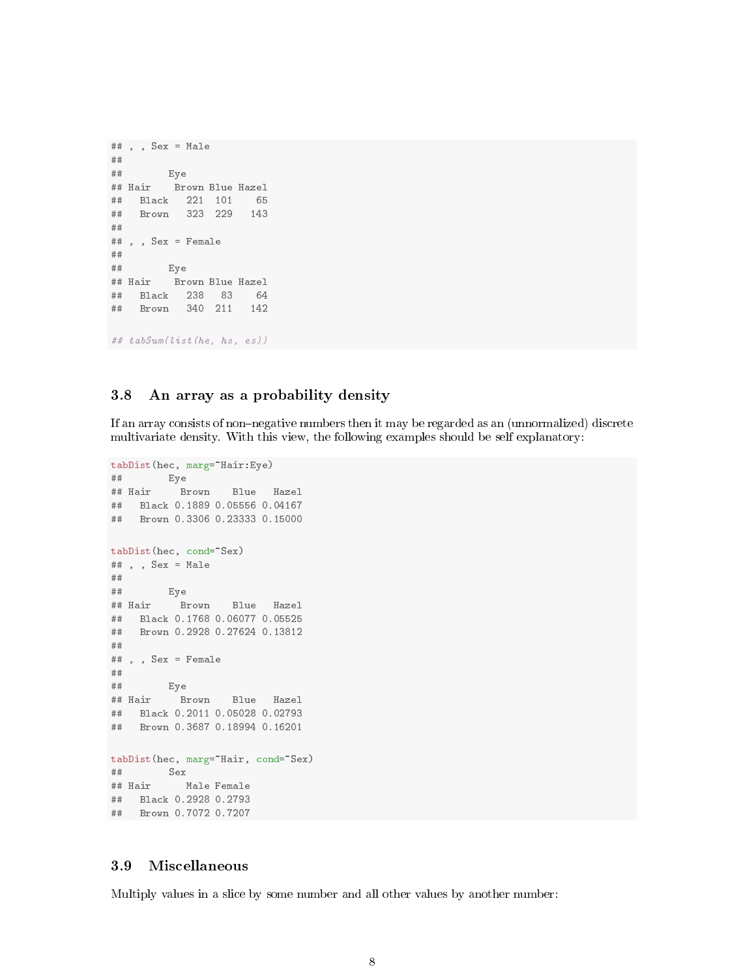```
## , , Sex = Male
##
## Eye
## Hair Brown Blue Hazel
## Black 221 101 65
## Brown 323 229 143
##
## , , Sex = Female
##
## Eye
## Hair Brown Blue Hazel
## Black 238 83 64
## Brown 340 211 142
## tabSum(list(he, hs, es))
```
### 3.8 An array as a probability density

If an array consists of non-negative numbers then it may be regarded as an (unnormalized) discrete multivariate density. With this view, the following examples should be self explanatory:

```
tabDist(hec, marg=~Hair:Eye)
## Eye
## Hair Brown Blue Hazel
## Black 0.1889 0.05556 0.04167
## Brown 0.3306 0.23333 0.15000
tabDist(hec, cond=~Sex)
## , , Sex = Male
##
## Eye
## Hair Brown Blue Hazel
## Black 0.1768 0.06077 0.05525
## Brown 0.2928 0.27624 0.13812
##
## , , Sex = Female
##
## Eye
## Hair Brown Blue Hazel
## Black 0.2011 0.05028 0.02793
## Brown 0.3687 0.18994 0.16201
tabDist(hec, marg="Hair, cond="Sex)
## Sex
## Hair Male Female
## Black 0.2928 0.2793
## Brown 0.7072 0.7207
```
## 3.9 Miscellaneous

Multiply values in a slice by some number and all other values by another number: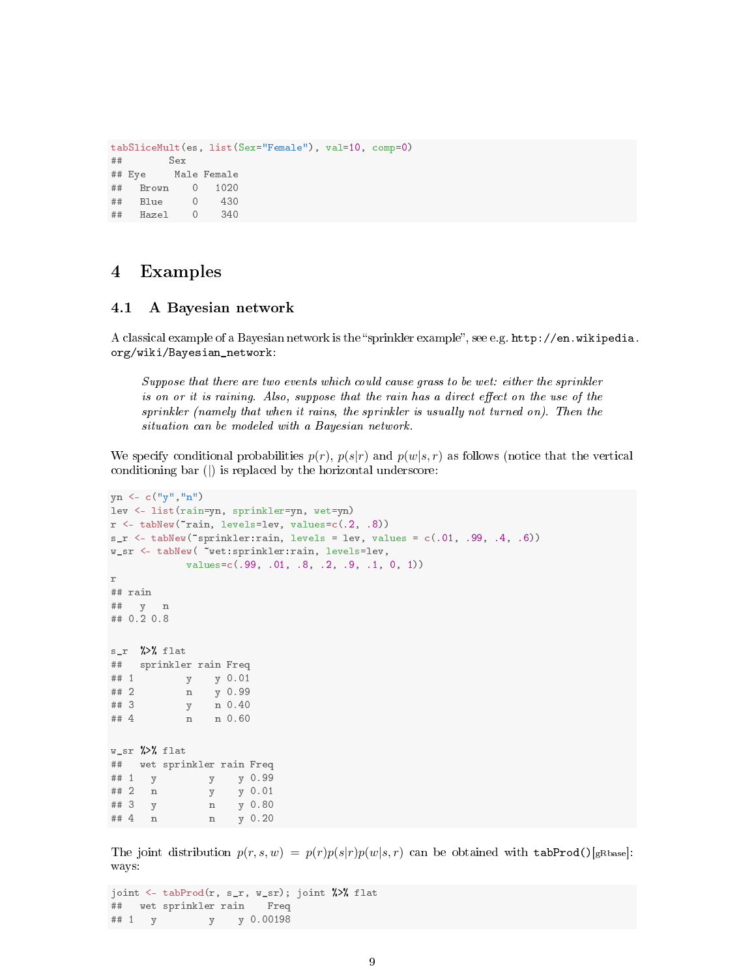```
tabSliceMult(es, list(Sex="Female"), val=10, comp=0)
## Sex
## Eye Male Female
## Brown 0 1020
## Blue 0 430
## Hazel 0 340
```
## 4 Examples

#### 4.1 A Bayesian network

A classical example of a Bayesian network is the "sprinkler example", see e.g. http://en.wikipedia. org/wiki/Bayesian\_network:

Suppose that there are two events which could cause grass to be wet: either the sprinkler is on or it is raining. Also, suppose that the rain has a direct effect on the use of the sprinkler (namely that when it rains, the sprinkler is usually not turned on). Then the situation can be modeled with a Bayesian network.

We specify conditional probabilities  $p(r)$ ,  $p(s|r)$  and  $p(w|s,r)$  as follows (notice that the vertical conditioning bar (|) is replaced by the horizontal underscore:

```
yn \leftarrow c("y", "n")lev <- list(rain=yn, sprinkler=yn, wet=yn)
r <- tabNew("rain, levels=lev, values=c(.2, .8))s_r < - tabNew("sprinkler: rain, levels = lev, values = c(.01, .99, .4, .6))
w_sr <- tabNew( ~wet:sprinkler:rain, levels=lev,
            values=c(.99, .01, .8, .2, .9, .1, 0, 1))
r
## rain
## y n
## 0.2 0.8
s_r %>% flat
## sprinkler rain Freq
## 1 y y 0.01<br>## 2 n y 0.99
## 2 n y 0.99<br>## 3 y n 0.40
          y n 0.40
## 4 n n 0.60
W_Sr %>% flat
## wet sprinkler rain Freq
## 1 y y y 0.99
## 2 n y y 0.01
## 3 y n y 0.80
## 4 n n y 0.20
```
The joint distribution  $p(r, s, w) = p(r)p(s|r)p(w|s, r)$  can be obtained with tabProd()[gRbase]: ways:

```
joint <- tabProd(r, s_r, w_sr); joint %>% flat
## wet sprinkler rain Freq
## 1 y y y 0.00198
```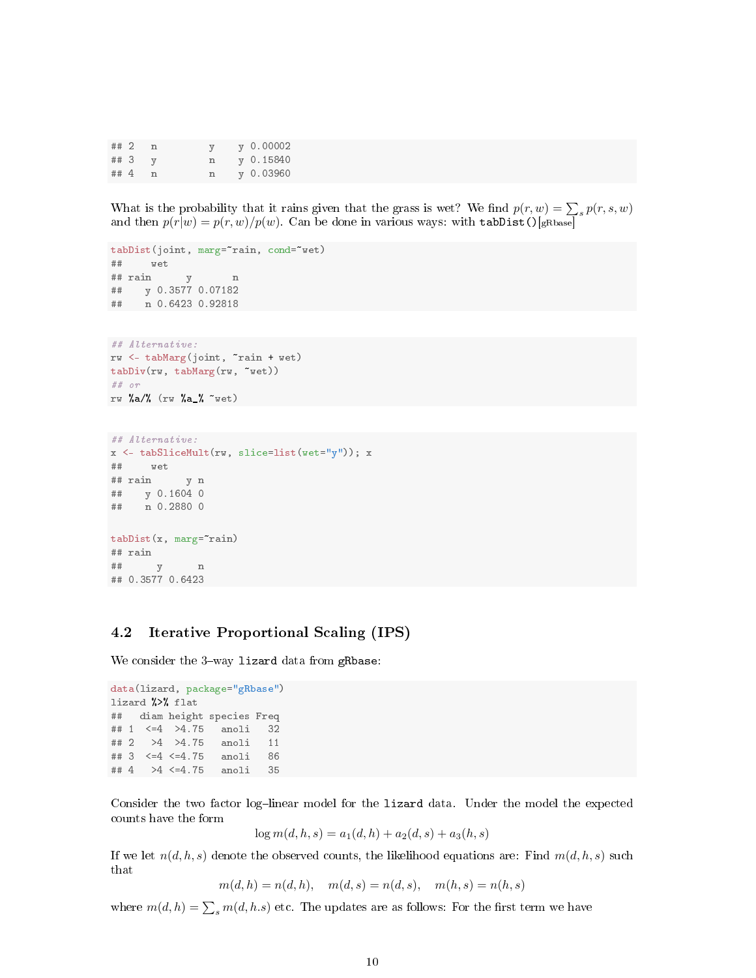| ##2  |  |   | $y\;0.00002$ |
|------|--|---|--------------|
| ## 3 |  | n | v 0.15840    |
| ## 4 |  | n | y 0.03960    |

What is the probability that it rains given that the grass is wet? We find  $p(r, w) = \sum_s p(r, s, w)$ and then  $p(r|w) = p(r, w)/p(w)$ . Can be done in various ways: with tabDist()[gRbase]

```
tabDist(joint, marg="rain, cond="wet)
## wet
## rain y n
## y 0.3577 0.07182
## n 0.6423 0.92818
## Alternative:
rw <- tabMarg(joint, ~rain + wet)
tabDiv(rw, tabMarg(rw, ~wet))
## or
rw %a/% (rw %a_% ~wet)
## Alternative:
x <- tabSliceMult(rw, slice=list(wet="y")); x
## wet
## rain y n
## y 0.1604 0
## n 0.2880 0
```

```
tabDist(x, <math>merge</math> rain)## rain
## y n
## 0.3577 0.6423
```
#### 4.2 Iterative Proportional Scaling (IPS)

We consider the  $3$ -way lizard data from gRbase:

```
data(lizard, package="gRbase")
lizard %>% flat
## diam height species Freq
## 1 <=4 >4.75 anoli 32
## 2 >4 >4.75 anoli 11
## 3 <=4 <=4.75 anoli 86
## 4 >4 <=4.75 anoli 35
```
Consider the two factor log-linear model for the lizard data. Under the model the expected counts have the form

$$
\log m(d, h, s) = a_1(d, h) + a_2(d, s) + a_3(h, s)
$$

If we let  $n(d, h, s)$  denote the observed counts, the likelihood equations are: Find  $m(d, h, s)$  such that

 $m(d, h) = n(d, h), \quad m(d, s) = n(d, s), \quad m(h, s) = n(h, s)$ 

where  $m(d, h) = \sum_{s} m(d, h.s)$  etc. The updates are as follows: For the first term we have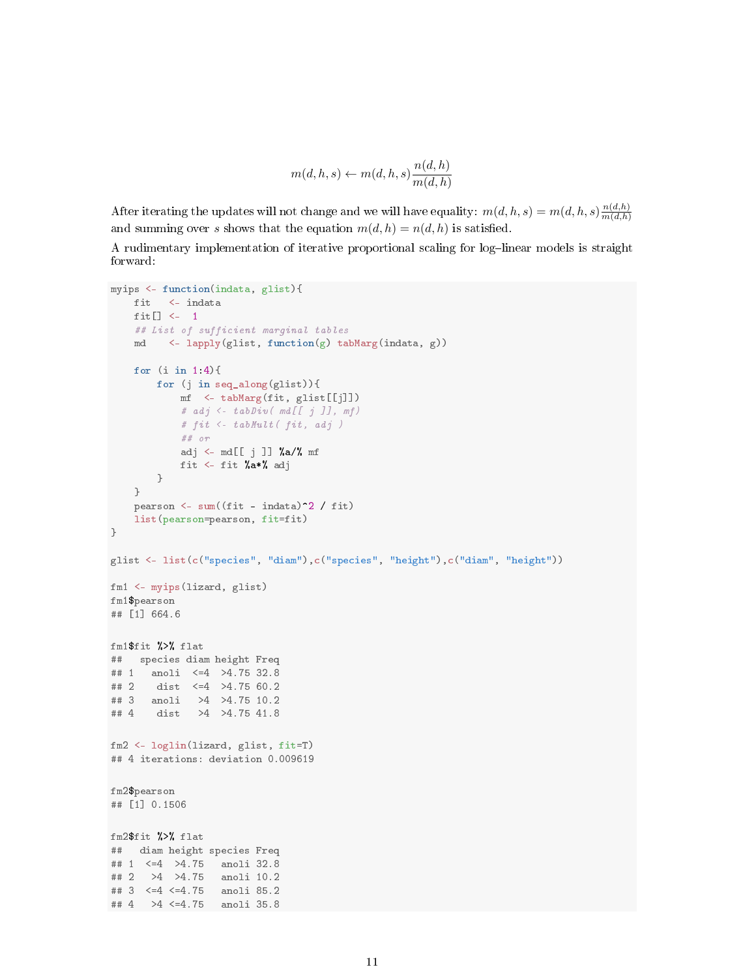$$
m(d,h,s) \leftarrow m(d,h,s) \frac{n(d,h)}{m(d,h)}
$$

After iterating the updates will not change and we will have equality:  $m(d, h, s) = m(d, h, s) \frac{n(d, h)}{m(d, h)}$  $m(d,h)$ and summing over s shows that the equation  $m(d, h) = n(d, h)$  is satisfied.

A rudimentary implementation of iterative proportional scaling for log-linear models is straight forward:

```
myips <- function(indata, glist){
   fit <- indata
   fit[] <- 1
   ## List of sufficient marginal tables
    md <- lapply(glist, function(g) tabMarg(indata, g))
    for (i in 1:4){
       for (j in seq_along(glist)){
           mf <- tabMarg(fit, glist[[j]])
           # adj \leftarrow tabDiv( md[[j]], mf)# fit <- tabMult( fit, adj )
           ## or
           adj <- md[[j]] %a/% mf
           fit <- fit %a*% adj
       }
    }
    pearson <- sum((fit - indata)^2 / fit)
    list(pearson=pearson, fit=fit)
}
glist <- list(c("species", "diam"),c("species", "height"),c("diam", "height"))
fm1 <- myips(lizard, glist)
fm1$pearson
## [1] 664.6
fm1$fit %>% flat
## species diam height Freq
## 1 anoli <=4 >4.75 32.8
## 2 dist <=4 >4.75 60.2
## 3 anoli >4 >4.75 10.2
## 4 dist >4 >4.75 41.8
fm2 <- loglin(lizard, glist, fit=T)
## 4 iterations: deviation 0.009619
fm2$pearson
## [1] 0.1506
fm2$fit %>% flat
## diam height species Freq
## 1 <=4 >4.75 anoli 32.8
## 2 >4 >4.75 anoli 10.2
## 3 <=4 <=4.75 anoli 85.2
## 4 >4 <=4.75 anoli 35.8
```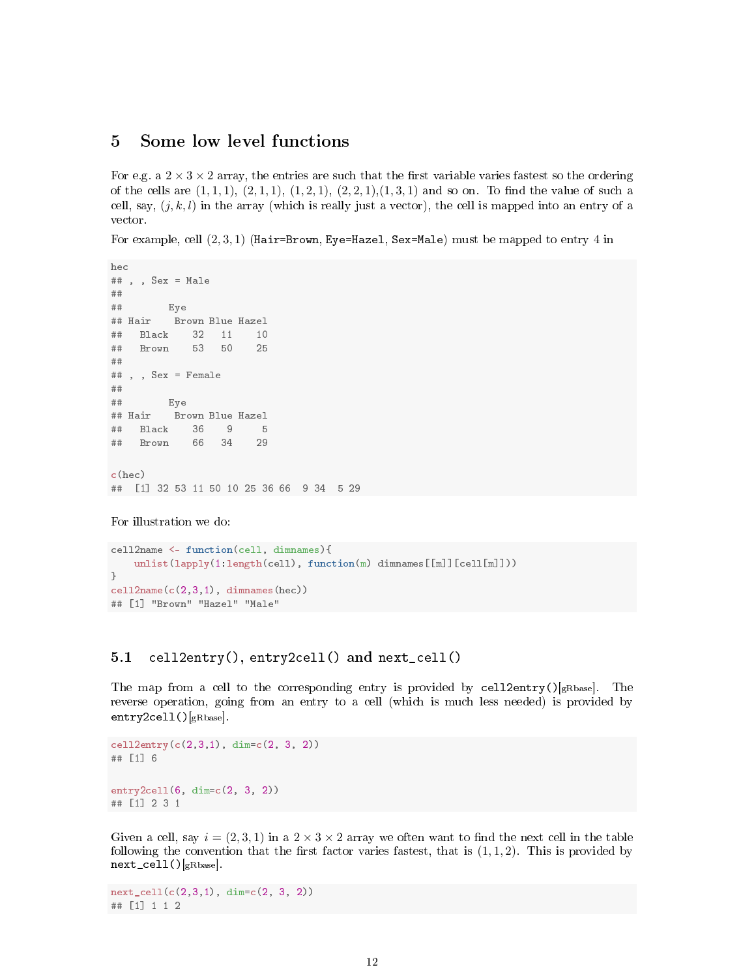## 5 Some low level functions

For e.g. a  $2 \times 3 \times 2$  array, the entries are such that the first variable varies fastest so the ordering of the cells are  $(1, 1, 1), (2, 1, 1), (1, 2, 1), (2, 2, 1), (1, 3, 1)$  and so on. To find the value of such a cell, say,  $(j, k, l)$  in the array (which is really just a vector), the cell is mapped into an entry of a vector.

For example, cell  $(2, 3, 1)$  (Hair=Brown, Eye=Hazel, Sex=Male) must be mapped to entry 4 in

```
hec
## , , Sex = Male
##
## Eye
## Hair Brown Blue Hazel
## Black 32 11 10
## Brown 53 50 25
##
## , , Sex = Female
##
## Eye
## Hair Brown Blue Hazel
## Black 36 9 5
## Brown 66 34 29
c(hec)
## [1] 32 53 11 50 10 25 36 66 9 34 5 29
```

```
For illustration we do:
```

```
cell2name <- function(cell, dimnames){
   unlist(lapply(1:length(cell), function(m) dimnames[[m]][cell[m]]))
}
cell2name(c(2,3,1), dimnames(hec))
## [1] "Brown" "Hazel" "Male"
```
#### 5.1 cell2entry(), entry2cell() and next\_cell()

The map from a cell to the corresponding entry is provided by cell2entry()[ $gRbase$ ]. The reverse operation, going from an entry to a cell (which is much less needed) is provided by entry2cell()[gRbase].

```
cell2entry(c(2,3,1), dim=c(2, 3, 2))
## [1] 6
entry2cell(6, dim=c(2, 3, 2))
## [1] 2 3 1
```
Given a cell, say  $i = (2, 3, 1)$  in a  $2 \times 3 \times 2$  array we often want to find the next cell in the table following the convention that the first factor varies fastest, that is  $(1, 1, 2)$ . This is provided by next\_cell()[gRbase].

next\_cell(c(2,3,1), dim=c(2, 3, 2)) ## [1] 1 1 2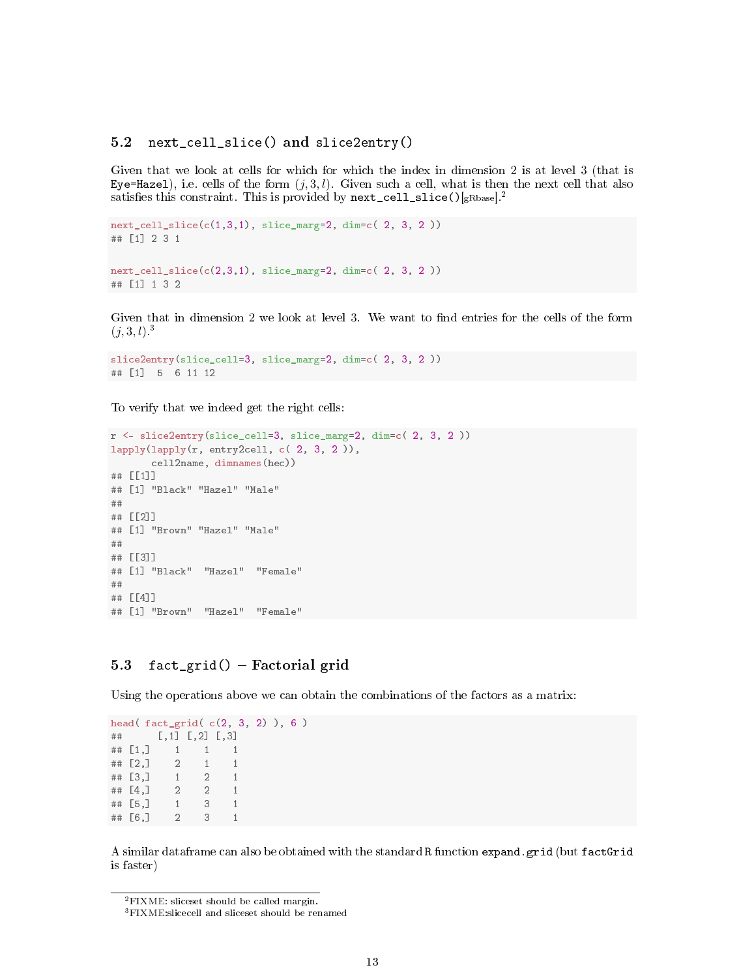#### 5.2 next\_cell\_slice() and slice2entry()

Given that we look at cells for which for which the index in dimension 2 is at level 3 (that is Eye=Hazel), i.e. cells of the form  $(j, 3, l)$ . Given such a cell, what is then the next cell that also satisfies this constraint. This is provided by  $next\_cell\_slice()$ [gRbase].<sup>2</sup>

```
next_{cell\_slice}(c(1,3,1), slice_{marg}=2, dim=c(2, 3, 2))## [1] 2 3 1
next_cell_slice(c(2,3,1), slice_marg=2, dim=c( 2, 3, 2 ))
## [1] 1 3 2
```
Given that in dimension 2 we look at level 3. We want to find entries for the cells of the form  $(j, 3, l)^3$ 

```
slice2entry(slice_cell=3, slice_marg=2, dim=c( 2, 3, 2 ))
## [1] 5 6 11 12
```
To verify that we indeed get the right cells:

```
r \le slice2entry(slice_cell=3, slice_marg=2, dim=c( 2, 3, 2 ))
lapply(lapply(r, entry2cell, c( 2, 3, 2 )),
       cell2name, dimnames(hec))
## [[1]]
## [1] "Black" "Hazel" "Male"
##
## [[2]]
## [1] "Brown" "Hazel" "Male"
##
## [[3]]
## [1] "Black" "Hazel" "Female"
##
## [[4]]
## [1] "Brown" "Hazel" "Female"
```
## 5.3 fact\_grid()  $-$  Factorial grid

Using the operations above we can obtain the combinations of the factors as a matrix:

```
head( fact_grid( c(2, 3, 2) ), 6 )
## [,1] [,2] [,3]
## [1,] 1 1 1
\# \# \begin{bmatrix} 2 & 1 & 1 \end{bmatrix}\begin{array}{cccc} #\# [3,] & 1 & 2 & 1 \\ #\# [4,] & 2 & 2 & 1 \end{array}## [4,] 2 2 1
## [5,] 1 3 1
## [6,] 2 3 1
```
A similar dataframe can also be obtained with the standard R function expand.grid (but factGrid is faster)

<sup>&</sup>lt;sup>2</sup>FIXME: sliceset should be called margin.

<sup>3</sup>FIXME:slicecell and sliceset should be renamed